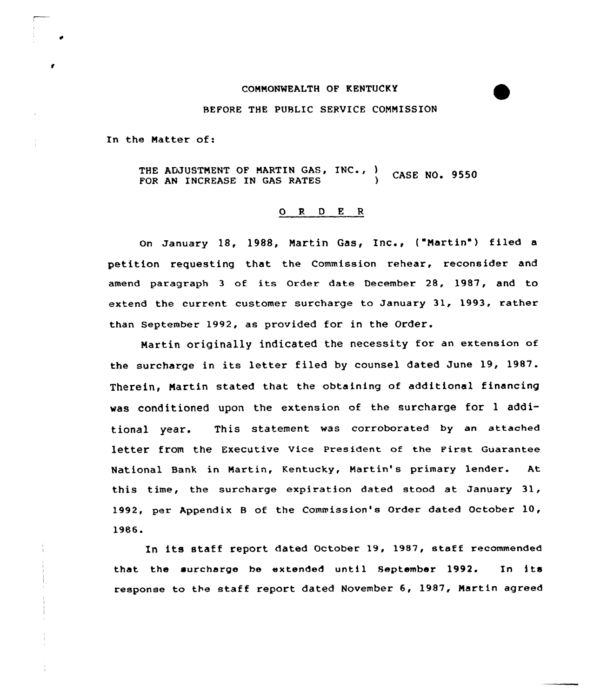## COMMONWEALTH OF KENTUCKY

## BEFORE THE PUBLIC SERVICE CONNISSION

In the Matter of:

THE ADJUSTMENT OF MARTIN GAS, INC., ) CASE NO. 9550 FOR AN INCREASE IN GAS RATES

## 0 R <sup>D</sup> E <sup>R</sup>

on January 18, 1988, Nartin Gas, Inc., ("Martin") filed <sup>a</sup> petition requesting that the Commission rehear, reconsider and amend paragraph <sup>3</sup> of its Order date December 28, 1987, and to extend the current customer surcharge to January 31, 1993, rather than September 1992, as provided for in the Order.

Martin originally indicated the necessity for an extension of the surcharge in its letter filed by counsel dated June 19, 1987. Therein, Martin stated that the obtaining of additional financing was conditioned upon the extension of the surcharge for <sup>1</sup> additional year. This statement was corroborated by an attached letter from the Executive Vice President of the First Guarantee National Bank in Martin, Kentucky, Martin's primary lender. At this time, the surcharge expiration dated stood at January 31, 1992, per Appendix <sup>B</sup> of the Commission's Order dated October 10, 1986.

In its staff report dated October 19, 1987, staff recommended<br>that the surcharge be extended until September 1992. In its response to the staff report dated November 6, 1987, Nartin agreed